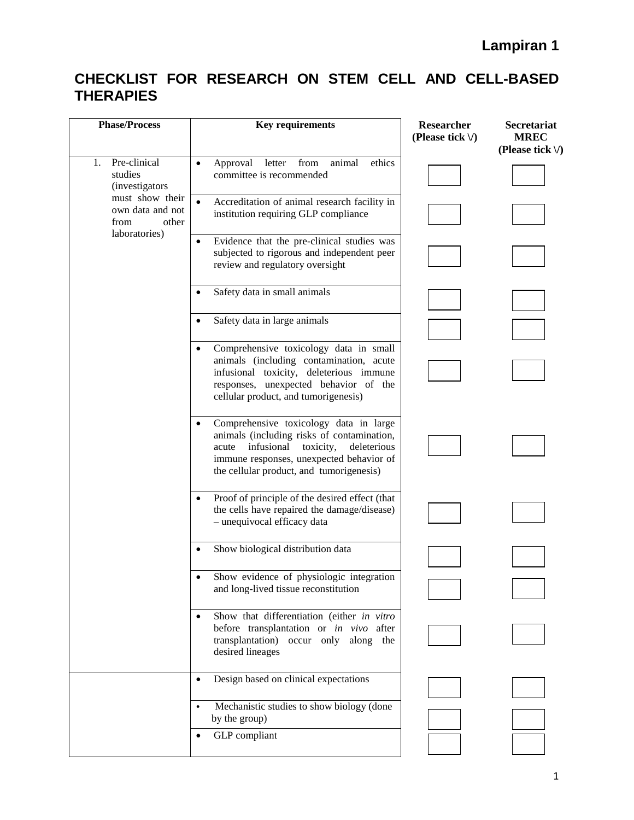| <b>Phase/Process</b>                                                  | <b>Key requirements</b>                                                                                                                                                                                                                      | <b>Researcher</b><br>(Please tick $\vee$ ) | Secretariat<br><b>MREC</b><br>(Please tick $\setminus$ ) |
|-----------------------------------------------------------------------|----------------------------------------------------------------------------------------------------------------------------------------------------------------------------------------------------------------------------------------------|--------------------------------------------|----------------------------------------------------------|
| Pre-clinical<br>1.<br>studies<br><i>(investigators)</i>               | animal<br>Approval letter from<br>ethics<br>$\bullet$<br>committee is recommended                                                                                                                                                            |                                            |                                                          |
| must show their<br>own data and not<br>from<br>other<br>laboratories) | Accreditation of animal research facility in<br>institution requiring GLP compliance                                                                                                                                                         |                                            |                                                          |
|                                                                       | Evidence that the pre-clinical studies was<br>subjected to rigorous and independent peer<br>review and regulatory oversight                                                                                                                  |                                            |                                                          |
|                                                                       | Safety data in small animals<br>٠                                                                                                                                                                                                            |                                            |                                                          |
|                                                                       | Safety data in large animals<br>$\bullet$                                                                                                                                                                                                    |                                            |                                                          |
|                                                                       | Comprehensive toxicology data in small<br>animals (including contamination, acute<br>infusional toxicity, deleterious immune<br>responses, unexpected behavior of the<br>cellular product, and tumorigenesis)                                |                                            |                                                          |
|                                                                       | Comprehensive toxicology data in large<br>$\bullet$<br>animals (including risks of contamination,<br>infusional<br>toxicity,<br>acute<br>deleterious<br>immune responses, unexpected behavior of<br>the cellular product, and tumorigenesis) |                                            |                                                          |
|                                                                       | Proof of principle of the desired effect (that<br>$\bullet$<br>the cells have repaired the damage/disease)<br>- unequivocal efficacy data                                                                                                    |                                            |                                                          |
|                                                                       | Show biological distribution data<br>٠                                                                                                                                                                                                       |                                            |                                                          |
|                                                                       | Show evidence of physiologic integration<br>and long-lived tissue reconstitution                                                                                                                                                             |                                            |                                                          |
|                                                                       | Show that differentiation (either in vitro<br>$\bullet$<br>before transplantation or in vivo after<br>transplantation)<br>occur only along the<br>desired lineages                                                                           |                                            |                                                          |
|                                                                       | Design based on clinical expectations<br>$\bullet$                                                                                                                                                                                           |                                            |                                                          |
|                                                                       | Mechanistic studies to show biology (done<br>$\bullet$<br>by the group)                                                                                                                                                                      |                                            |                                                          |
|                                                                       | GLP compliant<br>$\bullet$                                                                                                                                                                                                                   |                                            |                                                          |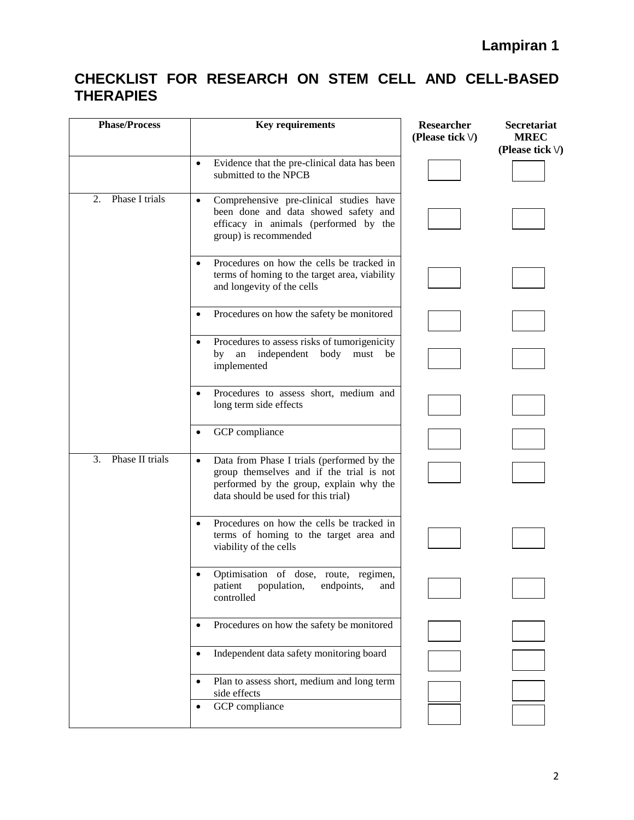| <b>Phase/Process</b>  | <b>Key requirements</b>                                                                                                                                                               | Researcher<br>(Please tick $\vee$ ) | <b>Secretariat</b><br><b>MREC</b><br>(Please tick $\vee$ ) |
|-----------------------|---------------------------------------------------------------------------------------------------------------------------------------------------------------------------------------|-------------------------------------|------------------------------------------------------------|
|                       | Evidence that the pre-clinical data has been<br>$\bullet$<br>submitted to the NPCB                                                                                                    |                                     |                                                            |
| Phase I trials<br>2.  | Comprehensive pre-clinical studies have<br>$\bullet$<br>been done and data showed safety and<br>efficacy in animals (performed by the<br>group) is recommended                        |                                     |                                                            |
|                       | Procedures on how the cells be tracked in<br>terms of homing to the target area, viability<br>and longevity of the cells                                                              |                                     |                                                            |
|                       | Procedures on how the safety be monitored                                                                                                                                             |                                     |                                                            |
|                       | Procedures to assess risks of tumorigenicity<br>independent<br>by<br>${\rm an}$<br>body<br>must<br>be<br>implemented                                                                  |                                     |                                                            |
|                       | Procedures to assess short, medium and<br>long term side effects                                                                                                                      |                                     |                                                            |
|                       | GCP compliance                                                                                                                                                                        |                                     |                                                            |
| 3.<br>Phase II trials | Data from Phase I trials (performed by the<br>$\bullet$<br>group themselves and if the trial is not<br>performed by the group, explain why the<br>data should be used for this trial) |                                     |                                                            |
|                       | Procedures on how the cells be tracked in<br>terms of homing to the target area and<br>viability of the cells                                                                         |                                     |                                                            |
|                       | Optimisation of dose, route, regimen,<br>patient<br>population,<br>endpoints,<br>and<br>controlled                                                                                    |                                     |                                                            |
|                       | Procedures on how the safety be monitored                                                                                                                                             |                                     |                                                            |
|                       | Independent data safety monitoring board                                                                                                                                              |                                     |                                                            |
|                       | Plan to assess short, medium and long term<br>side effects<br>GCP compliance                                                                                                          |                                     |                                                            |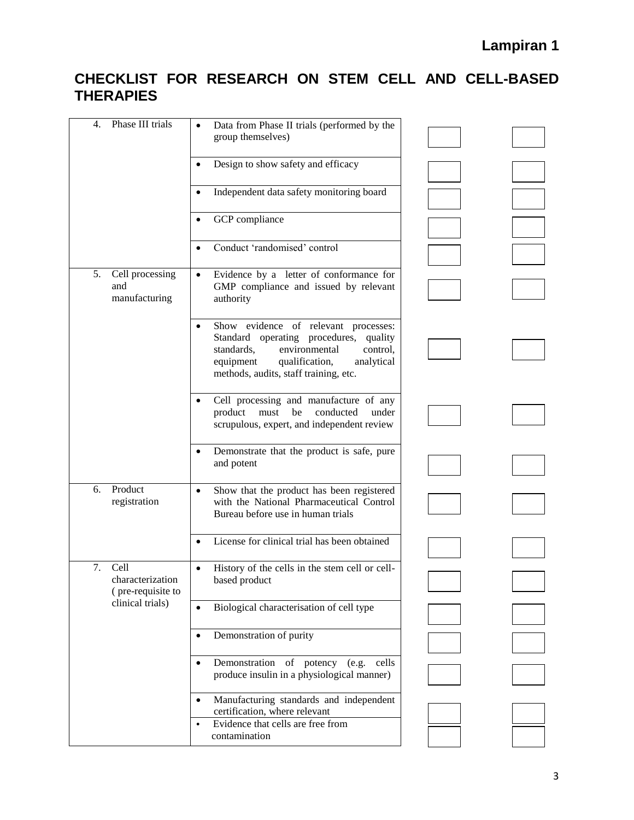| Phase III trials<br>4.                                                  | Data from Phase II trials (performed by the<br>$\bullet$<br>group themselves)                                                                                                                                      |  |
|-------------------------------------------------------------------------|--------------------------------------------------------------------------------------------------------------------------------------------------------------------------------------------------------------------|--|
|                                                                         | Design to show safety and efficacy                                                                                                                                                                                 |  |
|                                                                         | Independent data safety monitoring board                                                                                                                                                                           |  |
|                                                                         | GCP compliance                                                                                                                                                                                                     |  |
|                                                                         | Conduct 'randomised' control                                                                                                                                                                                       |  |
| 5.<br>Cell processing<br>and<br>manufacturing                           | Evidence by a letter of conformance for<br>$\bullet$<br>GMP compliance and issued by relevant<br>authority                                                                                                         |  |
|                                                                         | Show evidence of relevant processes:<br>Standard operating procedures,<br>quality<br>standards,<br>environmental<br>control.<br>equipment<br>qualification,<br>analytical<br>methods, audits, staff training, etc. |  |
|                                                                         | Cell processing and manufacture of any<br>product<br>must<br>be<br>conducted<br>under<br>scrupulous, expert, and independent review                                                                                |  |
|                                                                         | Demonstrate that the product is safe, pure<br>and potent                                                                                                                                                           |  |
| Product<br>6.<br>registration                                           | Show that the product has been registered<br>with the National Pharmaceutical Control<br>Bureau before use in human trials                                                                                         |  |
|                                                                         | License for clinical trial has been obtained                                                                                                                                                                       |  |
| 7.<br>Cell<br>characterization<br>(pre-requisite to<br>clinical trials) | History of the cells in the stem cell or cell-<br>based product                                                                                                                                                    |  |
|                                                                         | Biological characterisation of cell type<br>$\bullet$                                                                                                                                                              |  |
|                                                                         | Demonstration of purity<br>$\bullet$                                                                                                                                                                               |  |
|                                                                         | Demonstration of<br>potency (e.g.<br>cells<br>$\bullet$<br>produce insulin in a physiological manner)                                                                                                              |  |
|                                                                         | Manufacturing standards and independent<br>$\bullet$<br>certification, where relevant                                                                                                                              |  |
|                                                                         | Evidence that cells are free from<br>$\bullet$<br>contamination                                                                                                                                                    |  |